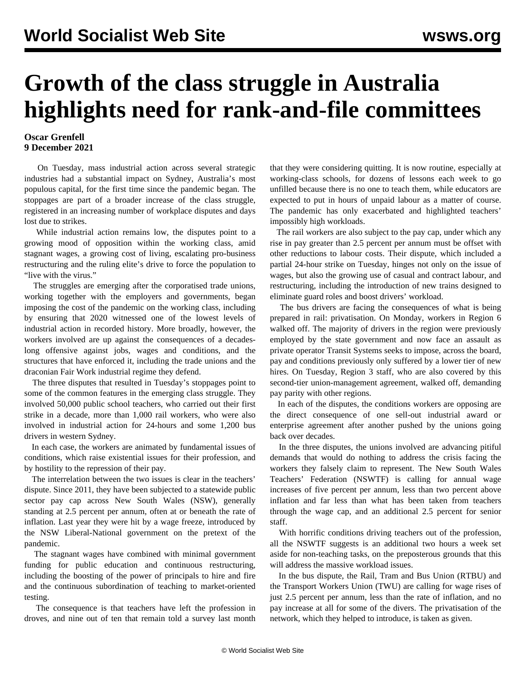## **Growth of the class struggle in Australia highlights need for rank-and-file committees**

## **Oscar Grenfell 9 December 2021**

 On Tuesday, mass industrial action across several strategic industries had a substantial impact on Sydney, Australia's most populous capital, for the first time since the pandemic began. The stoppages are part of a broader increase of the class struggle, registered in an increasing number of workplace disputes and days lost due to strikes.

 While industrial action remains low, the disputes point to a growing mood of opposition within the working class, amid stagnant wages, a growing cost of living, escalating pro-business restructuring and the ruling elite's drive to force the population to "live with the virus."

 The struggles are emerging after the corporatised trade unions, working together with the employers and governments, began imposing the cost of the pandemic on the working class, including by ensuring that 2020 witnessed one of the lowest levels of industrial action in recorded history. More broadly, however, the workers involved are up against the consequences of a decadeslong offensive against jobs, wages and conditions, and the structures that have enforced it, including the trade unions and the draconian Fair Work industrial regime they defend.

 The three disputes that resulted in Tuesday's stoppages point to some of the common features in the emerging class struggle. They involved 50,000 public school teachers, who carried out their first strike in a decade, more than 1,000 rail workers, who were also involved in industrial action for 24-hours and some 1,200 bus drivers in western Sydney.

 In each case, the workers are animated by fundamental issues of conditions, which raise existential issues for their profession, and by hostility to the repression of their pay.

 The interrelation between the two issues is clear in the teachers' dispute. Since 2011, they have been subjected to a statewide public sector pay cap across New South Wales (NSW), generally standing at 2.5 percent per annum, often at or beneath the rate of inflation. Last year they were hit by a wage freeze, introduced by the NSW Liberal-National government on the pretext of the pandemic.

 The stagnant wages have combined with minimal government funding for public education and continuous restructuring, including the boosting of the power of principals to hire and fire and the continuous subordination of teaching to market-oriented testing.

 The consequence is that teachers have left the profession in droves, and nine out of ten that remain told a survey last month that they were considering quitting. It is now routine, especially at working-class schools, for dozens of lessons each week to go unfilled because there is no one to teach them, while educators are expected to put in hours of unpaid labour as a matter of course. The pandemic has only exacerbated and highlighted teachers' impossibly high workloads.

 The rail workers are also subject to the pay cap, under which any rise in pay greater than 2.5 percent per annum must be offset with other reductions to labour costs. Their dispute, which included a partial 24-hour strike on Tuesday, hinges not only on the issue of wages, but also the growing use of casual and contract labour, and restructuring, including the introduction of new trains designed to eliminate guard roles and boost drivers' workload.

 The bus drivers are facing the consequences of what is being prepared in rail: privatisation. On Monday, workers in Region 6 walked off. The majority of drivers in the region were previously employed by the state government and now face an assault as private operator Transit Systems seeks to impose, across the board, pay and conditions previously only suffered by a lower tier of new hires. On Tuesday, Region 3 staff, who are also covered by this second-tier union-management agreement, walked off, demanding pay parity with other regions.

 In each of the disputes, the conditions workers are opposing are the direct consequence of one sell-out industrial award or enterprise agreement after another pushed by the unions going back over decades.

 In the three disputes, the unions involved are advancing pitiful demands that would do nothing to address the crisis facing the workers they falsely claim to represent. The New South Wales Teachers' Federation (NSWTF) is calling for annual wage increases of five percent per annum, less than two percent above inflation and far less than what has been taken from teachers through the wage cap, and an additional 2.5 percent for senior staff.

 With horrific conditions driving teachers out of the profession, all the NSWTF suggests is an additional two hours a week set aside for non-teaching tasks, on the preposterous grounds that this will address the massive workload issues.

 In the bus dispute, the Rail, Tram and Bus Union (RTBU) and the Transport Workers Union (TWU) are calling for wage rises of just 2.5 percent per annum, less than the rate of inflation, and no pay increase at all for some of the divers. The privatisation of the network, which they helped to introduce, is taken as given.